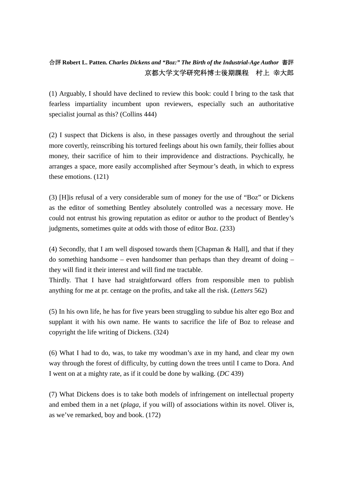## 合評 **Robert L. Patten.** *Charles Dickens and "Boz:" The Birth of the Industrial-Age Author* 書評 京都大学文学研究科博士後期課程 村上 幸大郎

(1) Arguably, I should have declined to review this book: could I bring to the task that fearless impartiality incumbent upon reviewers, especially such an authoritative specialist journal as this? (Collins 444)

(2) I suspect that Dickens is also, in these passages overtly and throughout the serial more covertly, reinscribing his tortured feelings about his own family, their follies about money, their sacrifice of him to their improvidence and distractions. Psychically, he arranges a space, more easily accomplished after Seymour's death, in which to express these emotions. (121)

(3) [H]is refusal of a very considerable sum of money for the use of "Boz" or Dickens as the editor of something Bentley absolutely controlled was a necessary move. He could not entrust his growing reputation as editor or author to the product of Bentley's judgments, sometimes quite at odds with those of editor Boz. (233)

(4) Secondly, that I am well disposed towards them [Chapman & Hall], and that if they do something handsome – even handsomer than perhaps than they dreamt of doing – they will find it their interest and will find me tractable.

Thirdly. That I have had straightforward offers from responsible men to publish anything for me at pr. centage on the profits, and take all the risk. (*Letters* 562)

(5) In his own life, he has for five years been struggling to subdue his alter ego Boz and supplant it with his own name. He wants to sacrifice the life of Boz to release and copyright the life writing of Dickens. (324)

(6) What I had to do, was, to take my woodman's axe in my hand, and clear my own way through the forest of difficulty, by cutting down the trees until I came to Dora. And I went on at a mighty rate, as if it could be done by walking. (*DC* 439)

(7) What Dickens does is to take both models of infringement on intellectual property and embed them in a net (*plaga*, if you will) of associations within its novel. Oliver is, as we've remarked, boy and book. (172)